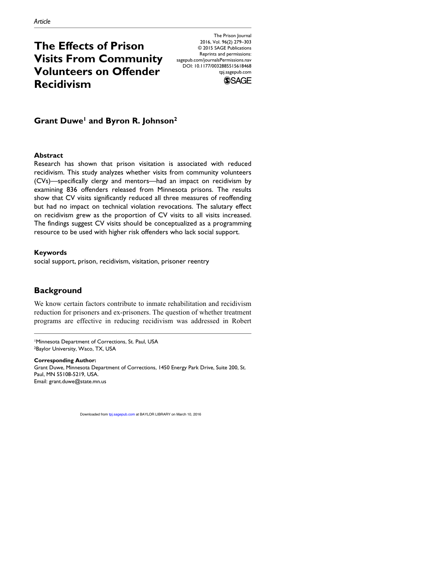# **The Effects of Prison Visits From Community Volunteers on Offender Recidivism**

The Prison Journal 2016, Vol. 96(2) 279–303 © 2015 SAGE Publications Reprints and permissions: sagepub.com/journalsPermissions.nav DOI: 10.1177/0032885515618468 tpj.sagepub.com



## **Grant Duwe1 and Byron R. Johnson2**

#### **Abstract**

Research has shown that prison visitation is associated with reduced recidivism. This study analyzes whether visits from community volunteers (CVs)—specifically clergy and mentors—had an impact on recidivism by examining 836 offenders released from Minnesota prisons. The results show that CV visits significantly reduced all three measures of reoffending but had no impact on technical violation revocations. The salutary effect on recidivism grew as the proportion of CV visits to all visits increased. The findings suggest CV visits should be conceptualized as a programming resource to be used with higher risk offenders who lack social support.

#### **Keywords**

social support, prison, recidivism, visitation, prisoner reentry

### **Background**

We know certain factors contribute to inmate rehabilitation and recidivism reduction for prisoners and ex-prisoners. The question of whether treatment programs are effective in reducing recidivism was addressed in Robert

1Minnesota Department of Corrections, St. Paul, USA 2Baylor University, Waco, TX, USA

#### **Corresponding Author:**

Grant Duwe, Minnesota Department of Corrections, 1450 Energy Park Drive, Suite 200, St. Paul, MN 55108-5219, USA. Email: grant.duwe@state.mn.us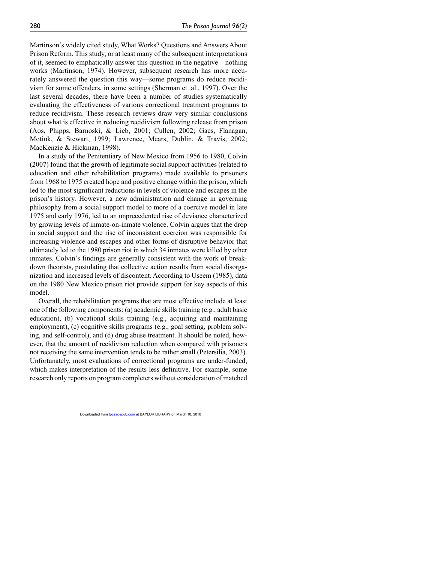Martinson's widely cited study, What Works? Questions and Answers About Prison Reform. This study, or at least many of the subsequent interpretations of it, seemed to emphatically answer this question in the negative—nothing works (Martinson, 1974). However, subsequent research has more accurately answered the question this way—some programs do reduce recidivism for some offenders, in some settings (Sherman et al., 1997). Over the last several decades, there have been a number of studies systematically evaluating the effectiveness of various correctional treatment programs to reduce recidivism. These research reviews draw very similar conclusions about what is effective in reducing recidivism following release from prison (Aos, Phipps, Barnoski, & Lieb, 2001; Cullen, 2002; Gaes, Flanagan, Motiuk, & Stewart, 1999; Lawrence, Mears, Dublin, & Travis, 2002; MacKenzie & Hickman, 1998).

In a study of the Penitentiary of New Mexico from 1956 to 1980, Colvin (2007) found that the growth of legitimate social support activities (related to education and other rehabilitation programs) made available to prisoners from 1968 to 1975 created hope and positive change within the prison, which led to the most significant reductions in levels of violence and escapes in the prison's history. However, a new administration and change in governing philosophy from a social support model to more of a coercive model in late 1975 and early 1976, led to an unprecedented rise of deviance characterized by growing levels of inmate-on-inmate violence. Colvin argues that the drop in social support and the rise of inconsistent coercion was responsible for increasing violence and escapes and other forms of disruptive behavior that ultimately led to the 1980 prison riot in which 34 inmates were killed by other inmates. Colvin's findings are generally consistent with the work of breakdown theorists, postulating that collective action results from social disorganization and increased levels of discontent. According to Useem (1985), data on the 1980 New Mexico prison riot provide support for key aspects of this model.

Overall, the rehabilitation programs that are most effective include at least one of the following components: (a) academic skills training (e.g., adult basic education), (b) vocational skills training (e.g., acquiring and maintaining employment), (c) cognitive skills programs (e.g., goal setting, problem solving, and self-control), and (d) drug abuse treatment. It should be noted, however, that the amount of recidivism reduction when compared with prisoners not receiving the same intervention tends to be rather small (Petersilia, 2003). Unfortunately, most evaluations of correctional programs are under-funded, which makes interpretation of the results less definitive. For example, some research only reports on program completers without consideration of matched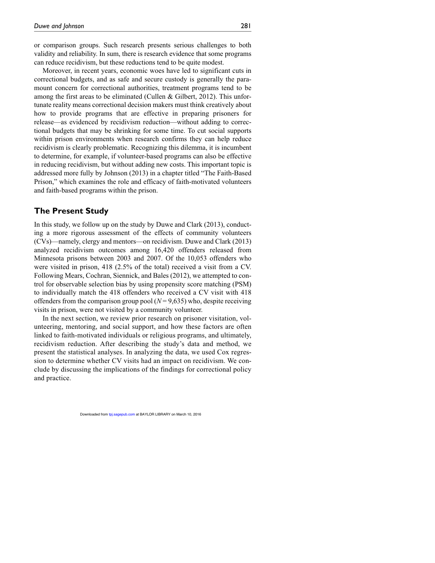or comparison groups. Such research presents serious challenges to both validity and reliability. In sum, there is research evidence that some programs can reduce recidivism, but these reductions tend to be quite modest.

Moreover, in recent years, economic woes have led to significant cuts in correctional budgets, and as safe and secure custody is generally the paramount concern for correctional authorities, treatment programs tend to be among the first areas to be eliminated (Cullen & Gilbert, 2012). This unfortunate reality means correctional decision makers must think creatively about how to provide programs that are effective in preparing prisoners for release—as evidenced by recidivism reduction—without adding to correctional budgets that may be shrinking for some time. To cut social supports within prison environments when research confirms they can help reduce recidivism is clearly problematic. Recognizing this dilemma, it is incumbent to determine, for example, if volunteer-based programs can also be effective in reducing recidivism, but without adding new costs. This important topic is addressed more fully by Johnson (2013) in a chapter titled "The Faith-Based Prison, " which examines the role and efficacy of faith-motivated volunteers and faith-based programs within the prison.

### **The Present Study**

In this study, we follow up on the study by Duwe and Clark (2013), conducting a more rigorous assessment of the effects of community volunteers (CVs)—namely, clergy and mentors—on recidivism. Duwe and Clark (2013) analyzed recidivism outcomes among 16,420 offenders released from Minnesota prisons between 2003 and 2007. Of the 10,053 offenders who were visited in prison, 418 (2.5% of the total) received a visit from a CV. Following Mears, Cochran, Siennick, and Bales (2012), we attempted to control for observable selection bias by using propensity score matching (PSM) to individually match the 418 offenders who received a CV visit with 418 offenders from the comparison group pool  $(N=9,635)$  who, despite receiving visits in prison, were not visited by a community volunteer.

In the next section, we review prior research on prisoner visitation, volunteering, mentoring, and social support, and how these factors are often linked to faith-motivated individuals or religious programs, and ultimately, recidivism reduction. After describing the study's data and method, we present the statistical analyses. In analyzing the data, we used Cox regression to determine whether CV visits had an impact on recidivism. We conclude by discussing the implications of the findings for correctional policy and practice.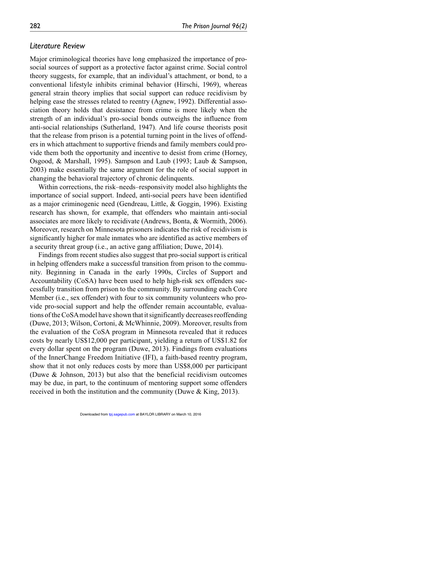#### *Literature Review*

Major criminological theories have long emphasized the importance of prosocial sources of support as a protective factor against crime. Social control theory suggests, for example, that an individual's attachment, or bond, to a conventional lifestyle inhibits criminal behavior (Hirschi, 1969), whereas general strain theory implies that social support can reduce recidivism by helping ease the stresses related to reentry (Agnew, 1992). Differential association theory holds that desistance from crime is more likely when the strength of an individual's pro-social bonds outweighs the influence from anti-social relationships (Sutherland, 1947). And life course theorists posit that the release from prison is a potential turning point in the lives of offenders in which attachment to supportive friends and family members could provide them both the opportunity and incentive to desist from crime (Horney, Osgood, & Marshall, 1995). Sampson and Laub (1993; Laub & Sampson, 2003) make essentially the same argument for the role of social support in changing the behavioral trajectory of chronic delinquents.

Within corrections, the risk–needs–responsivity model also highlights the importance of social support. Indeed, anti-social peers have been identified as a major criminogenic need (Gendreau, Little, & Goggin, 1996). Existing research has shown, for example, that offenders who maintain anti-social associates are more likely to recidivate (Andrews, Bonta, & Wormith, 2006). Moreover, research on Minnesota prisoners indicates the risk of recidivism is significantly higher for male inmates who are identified as active members of a security threat group (i.e., an active gang affiliation; Duwe, 2014).

Findings from recent studies also suggest that pro-social support is critical in helping offenders make a successful transition from prison to the community. Beginning in Canada in the early 1990s, Circles of Support and Accountability (CoSA) have been used to help high-risk sex offenders successfully transition from prison to the community. By surrounding each Core Member (i.e., sex offender) with four to six community volunteers who provide pro-social support and help the offender remain accountable, evaluations of the CoSA model have shown that it significantly decreases reoffending (Duwe, 2013; Wilson, Cortoni, & McWhinnie, 2009). Moreover, results from the evaluation of the CoSA program in Minnesota revealed that it reduces costs by nearly US\$12,000 per participant, yielding a return of US\$1.82 for every dollar spent on the program (Duwe, 2013). Findings from evaluations of the InnerChange Freedom Initiative (IFI), a faith-based reentry program, show that it not only reduces costs by more than US\$8,000 per participant (Duwe & Johnson, 2013) but also that the beneficial recidivism outcomes may be due, in part, to the continuum of mentoring support some offenders received in both the institution and the community (Duwe & King, 2013).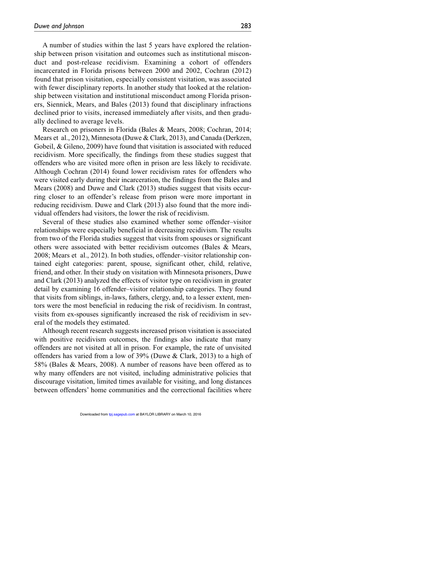A number of studies within the last 5 years have explored the relationship between prison visitation and outcomes such as institutional misconduct and post-release recidivism. Examining a cohort of offenders incarcerated in Florida prisons between 2000 and 2002, Cochran (2012) found that prison visitation, especially consistent visitation, was associated with fewer disciplinary reports. In another study that looked at the relationship between visitation and institutional misconduct among Florida prisoners, Siennick, Mears, and Bales (2013) found that disciplinary infractions declined prior to visits, increased immediately after visits, and then gradually declined to average levels.

Research on prisoners in Florida (Bales & Mears, 2008; Cochran, 2014; Mears et al., 2012), Minnesota (Duwe & Clark, 2013), and Canada (Derkzen, Gobeil, & Gileno, 2009) have found that visitation is associated with reduced recidivism. More specifically, the findings from these studies suggest that offenders who are visited more often in prison are less likely to recidivate. Although Cochran (2014) found lower recidivism rates for offenders who were visited early during their incarceration, the findings from the Bales and Mears (2008) and Duwe and Clark (2013) studies suggest that visits occurring closer to an offender's release from prison were more important in reducing recidivism. Duwe and Clark (2013) also found that the more individual offenders had visitors, the lower the risk of recidivism.

Several of these studies also examined whether some offender–visitor relationships were especially beneficial in decreasing recidivism. The results from two of the Florida studies suggest that visits from spouses or significant others were associated with better recidivism outcomes (Bales & Mears, 2008; Mears et al., 2012). In both studies, offender–visitor relationship contained eight categories: parent, spouse, significant other, child, relative, friend, and other. In their study on visitation with Minnesota prisoners, Duwe and Clark (2013) analyzed the effects of visitor type on recidivism in greater detail by examining 16 offender–visitor relationship categories. They found that visits from siblings, in-laws, fathers, clergy, and, to a lesser extent, mentors were the most beneficial in reducing the risk of recidivism. In contrast, visits from ex-spouses significantly increased the risk of recidivism in several of the models they estimated.

Although recent research suggests increased prison visitation is associated with positive recidivism outcomes, the findings also indicate that many offenders are not visited at all in prison. For example, the rate of unvisited offenders has varied from a low of 39% (Duwe & Clark, 2013) to a high of 58% (Bales & Mears, 2008). A number of reasons have been offered as to why many offenders are not visited, including administrative policies that discourage visitation, limited times available for visiting, and long distances between offenders' home communities and the correctional facilities where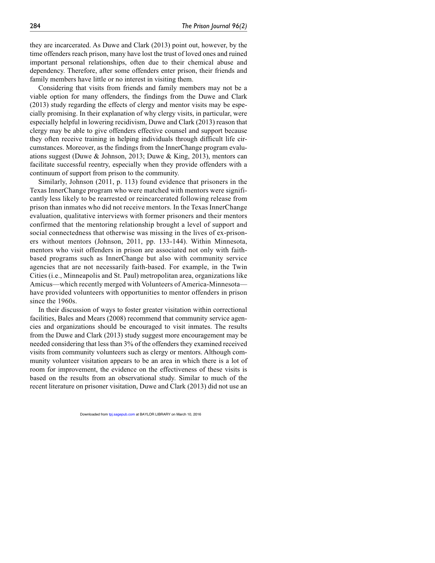they are incarcerated. As Duwe and Clark (2013) point out, however, by the time offenders reach prison, many have lost the trust of loved ones and ruined important personal relationships, often due to their chemical abuse and dependency. Therefore, after some offenders enter prison, their friends and family members have little or no interest in visiting them.

Considering that visits from friends and family members may not be a viable option for many offenders, the findings from the Duwe and Clark (2013) study regarding the effects of clergy and mentor visits may be especially promising. In their explanation of why clergy visits, in particular, were especially helpful in lowering recidivism, Duwe and Clark (2013) reason that clergy may be able to give offenders effective counsel and support because they often receive training in helping individuals through difficult life circumstances. Moreover, as the findings from the InnerChange program evaluations suggest (Duwe & Johnson, 2013; Duwe & King, 2013), mentors can facilitate successful reentry, especially when they provide offenders with a continuum of support from prison to the community.

Similarly, Johnson (2011, p. 113) found evidence that prisoners in the Texas InnerChange program who were matched with mentors were significantly less likely to be rearrested or reincarcerated following release from prison than inmates who did not receive mentors. In the Texas InnerChange evaluation, qualitative interviews with former prisoners and their mentors confirmed that the mentoring relationship brought a level of support and social connectedness that otherwise was missing in the lives of ex-prisoners without mentors (Johnson, 2011, pp. 133-144). Within Minnesota, mentors who visit offenders in prison are associated not only with faithbased programs such as InnerChange but also with community service agencies that are not necessarily faith-based. For example, in the Twin Cities (i.e., Minneapolis and St. Paul) metropolitan area, organizations like Amicus—which recently merged with Volunteers of America-Minnesota have provided volunteers with opportunities to mentor offenders in prison since the 1960s.

In their discussion of ways to foster greater visitation within correctional facilities, Bales and Mears (2008) recommend that community service agencies and organizations should be encouraged to visit inmates. The results from the Duwe and Clark (2013) study suggest more encouragement may be needed considering that less than 3% of the offenders they examined received visits from community volunteers such as clergy or mentors. Although community volunteer visitation appears to be an area in which there is a lot of room for improvement, the evidence on the effectiveness of these visits is based on the results from an observational study. Similar to much of the recent literature on prisoner visitation, Duwe and Clark (2013) did not use an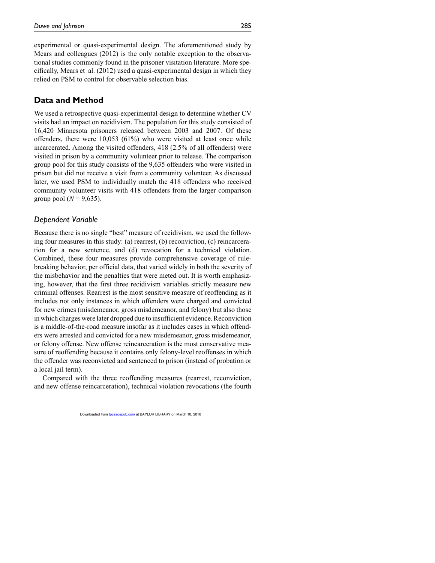experimental or quasi-experimental design. The aforementioned study by Mears and colleagues (2012) is the only notable exception to the observational studies commonly found in the prisoner visitation literature. More specifically, Mears et al. (2012) used a quasi-experimental design in which they relied on PSM to control for observable selection bias.

### **Data and Method**

We used a retrospective quasi-experimental design to determine whether CV visits had an impact on recidivism. The population for this study consisted of 16,420 Minnesota prisoners released between 2003 and 2007. Of these offenders, there were 10,053 (61%) who were visited at least once while incarcerated. Among the visited offenders, 418 (2.5% of all offenders) were visited in prison by a community volunteer prior to release. The comparison group pool for this study consists of the 9,635 offenders who were visited in prison but did not receive a visit from a community volunteer. As discussed later, we used PSM to individually match the 418 offenders who received community volunteer visits with 418 offenders from the larger comparison group pool  $(N = 9,635)$ .

### *Dependent Variable*

Because there is no single "best" measure of recidivism, we used the following four measures in this study: (a) rearrest, (b) reconviction, (c) reincarceration for a new sentence, and (d) revocation for a technical violation. Combined, these four measures provide comprehensive coverage of rulebreaking behavior, per official data, that varied widely in both the severity of the misbehavior and the penalties that were meted out. It is worth emphasizing, however, that the first three recidivism variables strictly measure new criminal offenses. Rearrest is the most sensitive measure of reoffending as it includes not only instances in which offenders were charged and convicted for new crimes (misdemeanor, gross misdemeanor, and felony) but also those in which charges were later dropped due to insufficient evidence. Reconviction is a middle-of-the-road measure insofar as it includes cases in which offenders were arrested and convicted for a new misdemeanor, gross misdemeanor, or felony offense. New offense reincarceration is the most conservative measure of reoffending because it contains only felony-level reoffenses in which the offender was reconvicted and sentenced to prison (instead of probation or a local jail term).

Compared with the three reoffending measures (rearrest, reconviction, and new offense reincarceration), technical violation revocations (the fourth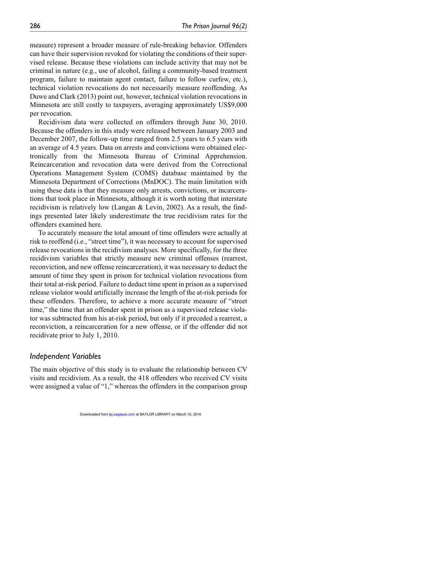measure) represent a broader measure of rule-breaking behavior. Offenders can have their supervision revoked for violating the conditions of their supervised release. Because these violations can include activity that may not be criminal in nature (e.g., use of alcohol, failing a community-based treatment program, failure to maintain agent contact, failure to follow curfew, etc.), technical violation revocations do not necessarily measure reoffending. As Duwe and Clark (2013) point out, however, technical violation revocations in Minnesota are still costly to taxpayers, averaging approximately US\$9,000 per revocation.

Recidivism data were collected on offenders through June 30, 2010. Because the offenders in this study were released between January 2003 and December 2007, the follow-up time ranged from 2.5 years to 6.5 years with an average of 4.5 years. Data on arrests and convictions were obtained electronically from the Minnesota Bureau of Criminal Apprehension. Reincarceration and revocation data were derived from the Correctional Operations Management System (COMS) database maintained by the Minnesota Department of Corrections (MnDOC). The main limitation with using these data is that they measure only arrests, convictions, or incarcerations that took place in Minnesota, although it is worth noting that interstate recidivism is relatively low (Langan & Levin, 2002). As a result, the findings presented later likely underestimate the true recidivism rates for the offenders examined here.

To accurately measure the total amount of time offenders were actually at risk to reoffend (i.e., "street time"), it was necessary to account for supervised release revocations in the recidivism analyses. More specifically, for the three recidivism variables that strictly measure new criminal offenses (rearrest, reconviction, and new offense reincarceration), it was necessary to deduct the amount of time they spent in prison for technical violation revocations from their total at-risk period. Failure to deduct time spent in prison as a supervised release violator would artificially increase the length of the at-risk periods for these offenders. Therefore, to achieve a more accurate measure of "street time, " the time that an offender spent in prison as a supervised release violator was subtracted from his at-risk period, but only if it preceded a rearrest, a reconviction, a reincarceration for a new offense, or if the offender did not recidivate prior to July 1, 2010.

### *Independent Variables*

The main objective of this study is to evaluate the relationship between CV visits and recidivism. As a result, the 418 offenders who received CV visits were assigned a value of "1, " whereas the offenders in the comparison group

Downloaded from tpj.sagepub.com at BAYLOR LIBRARY on March 10, 2016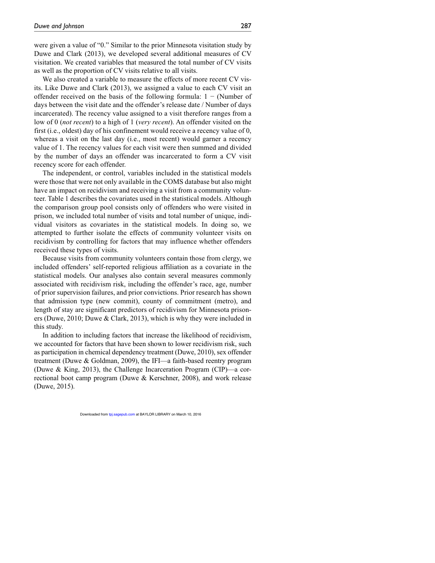were given a value of "0." Similar to the prior Minnesota visitation study by Duwe and Clark (2013), we developed several additional measures of CV visitation. We created variables that measured the total number of CV visits as well as the proportion of CV visits relative to all visits.

We also created a variable to measure the effects of more recent CV visits. Like Duwe and Clark (2013), we assigned a value to each CV visit an offender received on the basis of the following formula:  $1 - (Number of$ days between the visit date and the offender's release date / Number of days incarcerated). The recency value assigned to a visit therefore ranges from a low of 0 (*not recent*) to a high of 1 (*very recent*). An offender visited on the first (i.e., oldest) day of his confinement would receive a recency value of 0, whereas a visit on the last day (i.e., most recent) would garner a recency value of 1. The recency values for each visit were then summed and divided by the number of days an offender was incarcerated to form a CV visit recency score for each offender.

The independent, or control, variables included in the statistical models were those that were not only available in the COMS database but also might have an impact on recidivism and receiving a visit from a community volunteer. Table 1 describes the covariates used in the statistical models. Although the comparison group pool consists only of offenders who were visited in prison, we included total number of visits and total number of unique, individual visitors as covariates in the statistical models. In doing so, we attempted to further isolate the effects of community volunteer visits on recidivism by controlling for factors that may influence whether offenders received these types of visits.

Because visits from community volunteers contain those from clergy, we included offenders' self-reported religious affiliation as a covariate in the statistical models. Our analyses also contain several measures commonly associated with recidivism risk, including the offender's race, age, number of prior supervision failures, and prior convictions. Prior research has shown that admission type (new commit), county of commitment (metro), and length of stay are significant predictors of recidivism for Minnesota prisoners (Duwe, 2010; Duwe & Clark, 2013), which is why they were included in this study.

In addition to including factors that increase the likelihood of recidivism, we accounted for factors that have been shown to lower recidivism risk, such as participation in chemical dependency treatment (Duwe, 2010), sex offender treatment (Duwe & Goldman, 2009), the IFI—a faith-based reentry program (Duwe & King, 2013), the Challenge Incarceration Program (CIP)—a correctional boot camp program (Duwe & Kerschner, 2008), and work release (Duwe, 2015).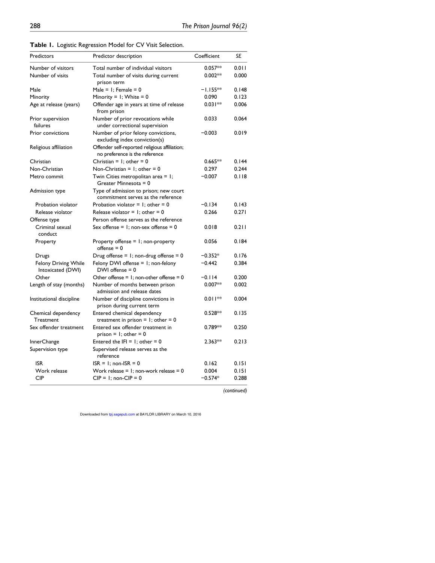|  |  |  |  |  | Table 1. Logistic Regression Model for CV Visit Selection. |
|--|--|--|--|--|------------------------------------------------------------|
|--|--|--|--|--|------------------------------------------------------------|

| Predictors                                       | Predictor description                                                                | Coefficient | SE    |
|--------------------------------------------------|--------------------------------------------------------------------------------------|-------------|-------|
| Number of visitors                               | Total number of individual visitors                                                  | $0.057**$   | 0.011 |
| Number of visits                                 | Total number of visits during current<br>prison term                                 | $0.002**$   | 0.000 |
| Male                                             | Male = $1$ ; Female = 0                                                              | $-1.155**$  | 0.148 |
| Minority                                         | Minority = $I$ ; White = 0                                                           | 0.090       | 0.123 |
| Age at release (years)                           | Offender age in years at time of release<br>from prison                              | $0.031**$   | 0.006 |
| Prior supervision<br>failures                    | Number of prior revocations while<br>under correctional supervision                  | 0.033       | 0.064 |
| Prior convictions                                | Number of prior felony convictions,<br>excluding index conviction(s)                 | $-0.003$    | 0.019 |
| Religious affiliation                            | Offender self-reported religious affiliation;<br>no preference is the reference      |             |       |
| Christian                                        | Christian = $1$ ; other = 0                                                          | $0.665**$   | 0.144 |
| Non-Christian                                    | Non-Christian = $1:$ other = 0                                                       | 0.297       | 0.244 |
| Metro commit                                     | Twin Cities metropolitan area = 1;<br>Greater Minnesota = 0                          | $-0.007$    | 0.118 |
| Admission type                                   | Type of admission to prison; new court<br>commitment serves as the reference         |             |       |
| Probation violator                               | Probation violator = $\vert$ : other = 0                                             | $-0.134$    | 0.143 |
| Release violator                                 | Release violator = $1$ ; other = 0                                                   | 0.266       | 0.271 |
| Offense type                                     | Person offense serves as the reference                                               |             |       |
| Criminal sexual<br>conduct                       | Sex offense = $1$ ; non-sex offense = 0                                              | 0.018       | 0.211 |
| Property                                         | Property offense $= 1$ ; non-property<br>$offense = 0$                               | 0.056       | 0.184 |
| Drugs                                            | Drug offense = $1$ ; non-drug offense = 0                                            | $-0.352*$   | 0.176 |
| <b>Felony Driving While</b><br>Intoxicated (DWI) | Felony DWI offense $= 1$ ; non-felony<br>DWI offense $= 0$                           | $-0.442$    | 0.384 |
| Other                                            | Other offense = $\vert \cdot \vert$ ; non-other offense = 0                          | $-0.114$    | 0.200 |
| Length of stay (months)                          | Number of months between prison<br>admission and release dates                       | $0.007**$   | 0.002 |
| Institutional discipline                         | Number of discipline convictions in<br>prison during current term                    | $0.011**$   | 0.004 |
| Chemical dependency<br>Treatment                 | Entered chemical dependency<br>treatment in prison = $\vert \cdot \vert$ ; other = 0 | $0.528**$   | 0.135 |
| Sex offender treatment                           | Entered sex offender treatment in<br>prison = $1$ ; other = 0                        | $0.789**$   | 0.250 |
| InnerChange                                      | Entered the $IFI = I$ ; other = 0                                                    | $2.363**$   | 0.213 |
| Supervision type                                 | Supervised release serves as the<br>reference                                        |             |       |
| <b>ISR</b>                                       | $ISR = 1: non-ISR = 0$                                                               | 0.162       | 0.151 |
| Work release                                     | Work release $= 1$ ; non-work release $= 0$                                          | 0.004       | 0.151 |
| <b>CIP</b>                                       | $CIP = I$ ; non- $CIP = 0$                                                           | $-0.574*$   | 0.288 |

*(continued)*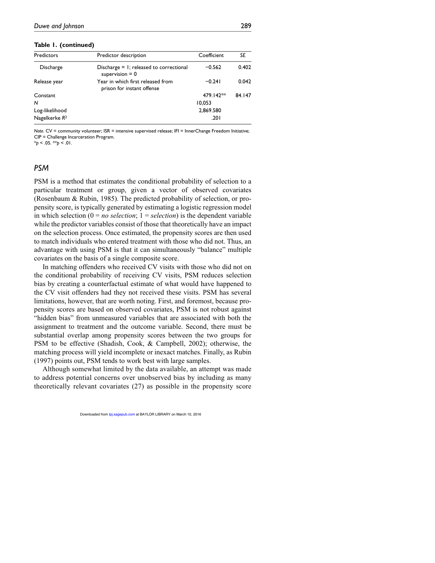#### **Table 1. (continued)**

| Predictors       | Predictor description                                           | Coefficient | SE     |
|------------------|-----------------------------------------------------------------|-------------|--------|
| Discharge        | Discharge $= 1$ ; released to correctional<br>supervision $= 0$ | $-0.562$    | 0.402  |
| Release year     | Year in which first released from<br>prison for instant offense | $-0.241$    | 0.042  |
| Constant         |                                                                 | 479.142**   | 84.147 |
| N                |                                                                 | 10.053      |        |
| Log-likelihood   |                                                                 | 2.869.580   |        |
| Nagelkerke $R^2$ |                                                                 | .201        |        |

*Note.* CV = community volunteer; ISR = intensive supervised release; IFI = InnerChange Freedom Initiative; CIP = Challenge Incarceration Program.

 $*_{p}$  < .05.  $*_{p}$  < .01.

### *PSM*

PSM is a method that estimates the conditional probability of selection to a particular treatment or group, given a vector of observed covariates (Rosenbaum & Rubin, 1985). The predicted probability of selection, or propensity score, is typically generated by estimating a logistic regression model in which selection  $(0 = no \; selection; 1 = selection)$  is the dependent variable while the predictor variables consist of those that theoretically have an impact on the selection process. Once estimated, the propensity scores are then used to match individuals who entered treatment with those who did not. Thus, an advantage with using PSM is that it can simultaneously "balance" multiple covariates on the basis of a single composite score.

In matching offenders who received CV visits with those who did not on the conditional probability of receiving CV visits, PSM reduces selection bias by creating a counterfactual estimate of what would have happened to the CV visit offenders had they not received these visits. PSM has several limitations, however, that are worth noting. First, and foremost, because propensity scores are based on observed covariates, PSM is not robust against "hidden bias" from unmeasured variables that are associated with both the assignment to treatment and the outcome variable. Second, there must be substantial overlap among propensity scores between the two groups for PSM to be effective (Shadish, Cook, & Campbell, 2002); otherwise, the matching process will yield incomplete or inexact matches. Finally, as Rubin (1997) points out, PSM tends to work best with large samples.

Although somewhat limited by the data available, an attempt was made to address potential concerns over unobserved bias by including as many theoretically relevant covariates (27) as possible in the propensity score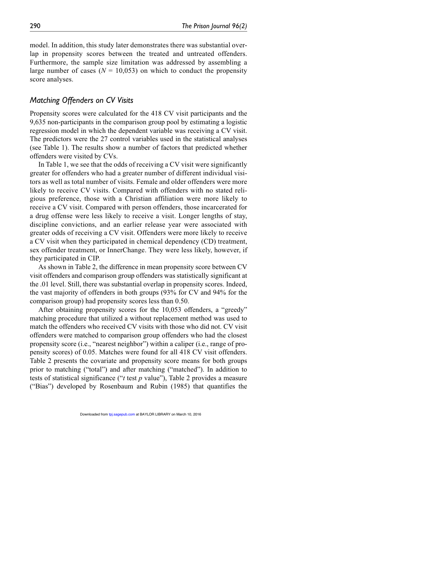model. In addition, this study later demonstrates there was substantial overlap in propensity scores between the treated and untreated offenders. Furthermore, the sample size limitation was addressed by assembling a large number of cases ( $N = 10,053$ ) on which to conduct the propensity score analyses.

### *Matching Offenders on CV Visits*

Propensity scores were calculated for the 418 CV visit participants and the 9,635 non-participants in the comparison group pool by estimating a logistic regression model in which the dependent variable was receiving a CV visit. The predictors were the 27 control variables used in the statistical analyses (see Table 1). The results show a number of factors that predicted whether offenders were visited by CVs.

In Table 1, we see that the odds of receiving a CV visit were significantly greater for offenders who had a greater number of different individual visitors as well as total number of visits. Female and older offenders were more likely to receive CV visits. Compared with offenders with no stated religious preference, those with a Christian affiliation were more likely to receive a CV visit. Compared with person offenders, those incarcerated for a drug offense were less likely to receive a visit. Longer lengths of stay, discipline convictions, and an earlier release year were associated with greater odds of receiving a CV visit. Offenders were more likely to receive a CV visit when they participated in chemical dependency (CD) treatment, sex offender treatment, or InnerChange. They were less likely, however, if they participated in CIP.

As shown in Table 2, the difference in mean propensity score between CV visit offenders and comparison group offenders was statistically significant at the .01 level. Still, there was substantial overlap in propensity scores. Indeed, the vast majority of offenders in both groups (93% for CV and 94% for the comparison group) had propensity scores less than 0.50.

After obtaining propensity scores for the 10,053 offenders, a "greedy" matching procedure that utilized a without replacement method was used to match the offenders who received CV visits with those who did not. CV visit offenders were matched to comparison group offenders who had the closest propensity score (i.e., "nearest neighbor") within a caliper (i.e., range of propensity scores) of 0.05. Matches were found for all 418 CV visit offenders. Table 2 presents the covariate and propensity score means for both groups prior to matching ("total") and after matching ("matched"). In addition to tests of statistical significance ("*t* test *p* value"), Table 2 provides a measure ("Bias") developed by Rosenbaum and Rubin (1985) that quantifies the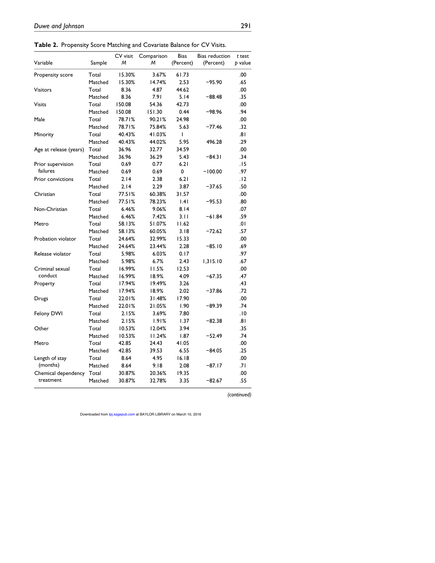| Variable               | Sample  | CV visit<br>м | Comparison<br>м | <b>Bias</b><br>(Percent) | Bias reduction<br>(Percent) | t test<br>b value |
|------------------------|---------|---------------|-----------------|--------------------------|-----------------------------|-------------------|
| Propensity score       | Total   | 15.30%        | 3.67%           | 61.73                    |                             | .00               |
|                        | Matched | 15.30%        | 14.74%          | 2.53                     | $-95.90$                    | .65               |
| Visitors               | Total   | 8.36          | 4.87            | 44.62                    |                             | .00               |
|                        | Matched | 8.36          | 7.91            | 5.14                     | $-88.48$                    | .35               |
| <b>Visits</b>          | Total   | 150.08        | 54.36           | 42.73                    |                             | .00               |
|                        | Matched | 150.08        | 151.30          | 0.44                     | -98.96                      | .94               |
| Male                   | Total   | 78.71%        | 90.21%          | 24.98                    |                             | .00               |
|                        | Matched | 78.71%        | 75.84%          | 5.63                     | $-77.46$                    | .32               |
| Minority               | Total   | 40.43%        | 41.03%          | L                        |                             | .81               |
|                        | Matched | 40.43%        | 44.02%          | 5.95                     | 496.28                      | .29               |
| Age at release (years) | Total   | 36.96         | 32.77           | 34.59                    |                             | .00               |
|                        | Matched | 36.96         | 36.29           | 5.43                     | -84.31                      | .34               |
| Prior supervision      | Total   | 0.69          | 0.77            | 6.21                     |                             | .15               |
| failures               | Matched | 0.69          | 0.69            | 0                        | $-100.00$                   | .97               |
| Prior convictions      | Total   | 2.14          | 2.38            | 6.21                     |                             | .12               |
|                        | Matched | 2.14          | 2.29            | 3.87                     | -37.65                      | .50               |
| Christian              | Total   | 77.51%        | 60.38%          | 31.57                    |                             | .00               |
|                        | Matched | 77.51%        | 78.23%          | .4                       | -95.53                      | .80               |
| Non-Christian          | Total   | 6.46%         | 9.06%           | 8.14                     |                             | .07               |
|                        | Matched | 6.46%         | 7.42%           | 3.11                     | -61.84                      | .59               |
| Metro                  | Total   | 58.13%        | 51.07%          | 11.62                    |                             | 10.               |
|                        | Matched | 58.13%        | 60.05%          | 3.18                     | $-72.62$                    | .57               |
| Probation violator     | Total   | 24.64%        | 32.99%          | 15.33                    |                             | .00               |
|                        | Matched | 24.64%        | 23.44%          | 2.28                     | $-85.10$                    | .69               |
| Release violator       | Total   | 5.98%         | 6.03%           | 0.17                     |                             | .97               |
|                        | Matched | 5.98%         | 6.7%            | 2.43                     | 1,315.10                    | .67               |
| Criminal sexual        | Total   | 16.99%        | 11.5%           | 12.53                    |                             | .00               |
| conduct                | Matched | 16.99%        | 18.9%           | 4.09                     | $-67.35$                    | .47               |
| Property               | Total   | 17.94%        | 19.49%          | 3.26                     |                             | .43               |
|                        | Matched | 17.94%        | 18.9%           | 2.02                     | $-37.86$                    | .72               |
| Drugs                  | Total   | 22.01%        | 31.48%          | 17.90                    |                             | .00               |
|                        | Matched | 22.01%        | 21.05%          | 1.90                     | -89.39                      | .74               |
| Felony DWI             | Total   | 2.15%         | 3.69%           | 7.80                     |                             | .10               |
|                        | Matched | 2.15%         | 1.91%           | 1.37                     | $-82.38$                    | .81               |
| Other                  | Total   | 10.53%        | 12.04%          | 3.94                     |                             | .35               |
|                        | Matched | 10.53%        | 11.24%          | 1.87                     | $-52.49$                    | .74               |
| Metro                  | Total   | 42.85         | 24.43           | 41.05                    |                             | .00               |
|                        | Matched | 42.85         | 39.53           | 6.55                     | $-84.05$                    | .25               |
| Length of stay         | Total   | 8.64          | 4.95            | 16.18                    |                             | .00               |
| (months)               | Matched | 8.64          | 9.18            | 2.08                     | $-87.17$                    | .71               |
| Chemical dependency    | Total   | 30.87%        | 20.36%          | 19.35                    |                             | .00               |
| treatment              | Matched | 30.87%        | 32.78%          | 3.35                     | $-82.67$                    | .55               |

**Table 2.** Propensity Score Matching and Covariate Balance for CV Visits.

*(continued)*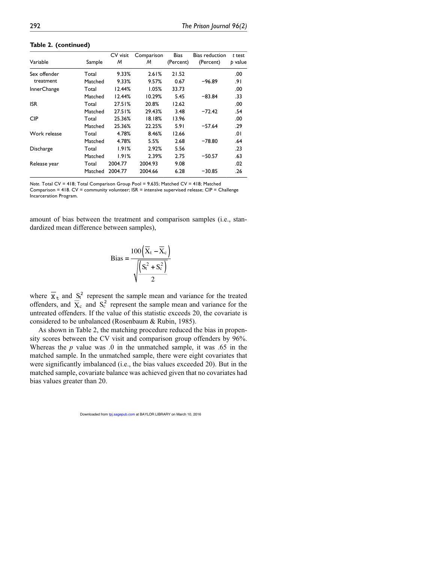#### **Table 2. (continued)**

| Variable     | Sample  | CV visit<br>M | Comparison<br>м | <b>Bias</b><br>(Percent) | Bias reduction<br>(Percent) | t test<br>p value |
|--------------|---------|---------------|-----------------|--------------------------|-----------------------------|-------------------|
| Sex offender | Total   | 9.33%         | 2.61%           | 21.52                    |                             | .00               |
| treatment    | Matched | 9.33%         | 9.57%           | 0.67                     | $-96.89$                    | 9۱.               |
| InnerChange  | Total   | 12.44%        | 1.05%           | 33.73                    |                             | .00               |
|              | Matched | 12.44%        | 10.29%          | 5.45                     | $-83.84$                    | .33               |
| <b>ISR</b>   | Total   | 27.51%        | 20.8%           | 12.62                    |                             | .00               |
|              | Matched | 27.51%        | 29.43%          | 3.48                     | $-72.42$                    | .54               |
| <b>CIP</b>   | Total   | 25.36%        | 18.18%          | 13.96                    |                             | .00               |
|              | Matched | 25.36%        | 22.25%          | 5.91                     | $-57.64$                    | .29               |
| Work release | Total   | 4.78%         | 8.46%           | 12.66                    |                             | .01               |
|              | Matched | 4.78%         | 5.5%            | 2.68                     | $-78.80$                    | .64               |
| Discharge    | Total   | 1.91%         | 2.92%           | 5.56                     |                             | .23               |
|              | Matched | 1.91%         | 2.39%           | 2.75                     | $-50.57$                    | .63               |
| Release year | Total   | 2004.77       | 2004.93         | 9.08                     |                             | .02               |
|              | Matched | 2004.77       | 2004.66         | 6.28                     | $-30.85$                    | .26               |

*Note.* Total CV = 418; Total Comparison Group Pool = 9,635; Matched CV = 418; Matched Comparison = 418. CV = community volunteer; ISR = intensive supervised release; CIP = Challenge Incarceration Program.

amount of bias between the treatment and comparison samples (i.e., standardized mean difference between samples),

#### Bias  $X_t - X_c$  $=\frac{100(X_t-X_c)}{\sqrt{2\pi} \sqrt{2\pi} \sqrt{2\pi} \sqrt{2\pi} \sqrt{2\pi} \sqrt{2\pi} \sqrt{2\pi} \sqrt{2\pi} \sqrt{2\pi} \sqrt{2\pi} \sqrt{2\pi} \sqrt{2\pi} \sqrt{2\pi} \sqrt{2\pi} \sqrt{2\pi} \sqrt{2\pi} \sqrt{2\pi} \sqrt{2\pi} \sqrt{2\pi} \sqrt{2\pi} \sqrt{2\pi} \sqrt{2\pi} \sqrt{2\pi} \sqrt{2\pi} \sqrt{2\pi} \sqrt{2\pi} \sqrt{2\pi} \sqrt{2\pi} \sqrt{2\pi} \sqrt{2\pi$  $\left( S_t^2 + S_c^2 \right)$ 100 2 2  $\sqrt{2}$ t  $S_t^2 + S_c^2$

where  $\overline{X}_t$  and  $S_t^2$  represent the sample mean and variance for the treated offenders, and  $\overline{X}_c$  and  $S_c^2$  represent the sample mean and variance for the untreated offenders. If the value of this statistic exceeds 20, the covariate is considered to be unbalanced (Rosenbaum & Rubin, 1985).

As shown in Table 2, the matching procedure reduced the bias in propensity scores between the CV visit and comparison group offenders by 96%. Whereas the *p* value was .0 in the unmatched sample, it was .65 in the matched sample. In the unmatched sample, there were eight covariates that were significantly imbalanced (i.e., the bias values exceeded 20). But in the matched sample, covariate balance was achieved given that no covariates had bias values greater than 20.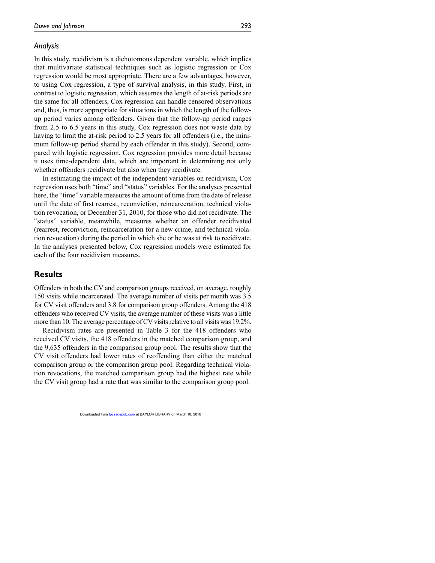### *Analysis*

In this study, recidivism is a dichotomous dependent variable, which implies that multivariate statistical techniques such as logistic regression or Cox regression would be most appropriate. There are a few advantages, however, to using Cox regression, a type of survival analysis, in this study. First, in contrast to logistic regression, which assumes the length of at-risk periods are the same for all offenders, Cox regression can handle censored observations and, thus, is more appropriate for situations in which the length of the followup period varies among offenders. Given that the follow-up period ranges from 2.5 to 6.5 years in this study, Cox regression does not waste data by having to limit the at-risk period to 2.5 years for all offenders (i.e., the minimum follow-up period shared by each offender in this study). Second, compared with logistic regression, Cox regression provides more detail because it uses time-dependent data, which are important in determining not only whether offenders recidivate but also when they recidivate.

In estimating the impact of the independent variables on recidivism, Cox regression uses both "time" and "status" variables. For the analyses presented here, the "time" variable measures the amount of time from the date of release until the date of first rearrest, reconviction, reincarceration, technical violation revocation, or December 31, 2010, for those who did not recidivate. The "status" variable, meanwhile, measures whether an offender recidivated (rearrest, reconviction, reincarceration for a new crime, and technical violation revocation) during the period in which she or he was at risk to recidivate. In the analyses presented below, Cox regression models were estimated for each of the four recidivism measures.

### **Results**

Offenders in both the CV and comparison groups received, on average, roughly 150 visits while incarcerated. The average number of visits per month was 3.5 for CV visit offenders and 3.8 for comparison group offenders. Among the 418 offenders who received CV visits, the average number of these visits was a little more than 10. The average percentage of CV visits relative to all visits was  $19.2\%$ .

Recidivism rates are presented in Table 3 for the 418 offenders who received CV visits, the 418 offenders in the matched comparison group, and the 9,635 offenders in the comparison group pool. The results show that the CV visit offenders had lower rates of reoffending than either the matched comparison group or the comparison group pool. Regarding technical violation revocations, the matched comparison group had the highest rate while the CV visit group had a rate that was similar to the comparison group pool.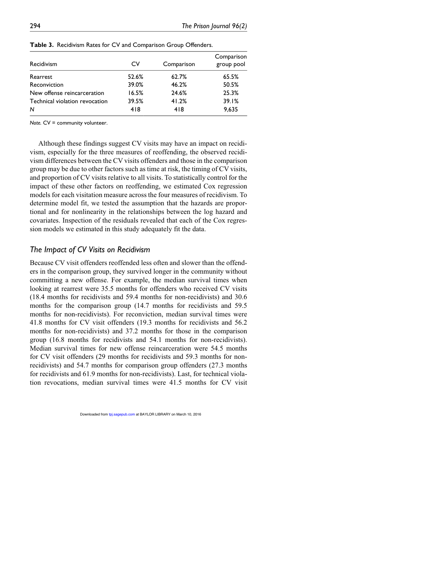| Recidivism                     | CV    | Comparison | Comparison<br>group pool |
|--------------------------------|-------|------------|--------------------------|
| Rearrest                       | 52.6% | 62.7%      | 65.5%                    |
| Reconviction                   | 39.0% | 46.2%      | 50.5%                    |
| New offense reincarceration    | 16.5% | 24.6%      | 25.3%                    |
| Technical violation revocation | 39.5% | 41.2%      | 39.1%                    |
| N                              | 418   | 418        | 9.635                    |

**Table 3.** Recidivism Rates for CV and Comparison Group Offenders.

*Note.* CV = community volunteer.

Although these findings suggest CV visits may have an impact on recidivism, especially for the three measures of reoffending, the observed recidivism differences between the CV visits offenders and those in the comparison group may be due to other factors such as time at risk, the timing of CV visits, and proportion of CV visits relative to all visits. To statistically control for the impact of these other factors on reoffending, we estimated Cox regression models for each visitation measure across the four measures of recidivism. To determine model fit, we tested the assumption that the hazards are proportional and for nonlinearity in the relationships between the log hazard and covariates. Inspection of the residuals revealed that each of the Cox regression models we estimated in this study adequately fit the data.

### *The Impact of CV Visits on Recidivism*

Because CV visit offenders reoffended less often and slower than the offenders in the comparison group, they survived longer in the community without committing a new offense. For example, the median survival times when looking at rearrest were 35.5 months for offenders who received CV visits (18.4 months for recidivists and 59.4 months for non-recidivists) and 30.6 months for the comparison group (14.7 months for recidivists and 59.5 months for non-recidivists). For reconviction, median survival times were 41.8 months for CV visit offenders (19.3 months for recidivists and 56.2 months for non-recidivists) and 37.2 months for those in the comparison group (16.8 months for recidivists and 54.1 months for non-recidivists). Median survival times for new offense reincarceration were 54.5 months for CV visit offenders (29 months for recidivists and 59.3 months for nonrecidivists) and 54.7 months for comparison group offenders (27.3 months for recidivists and 61.9 months for non-recidivists). Last, for technical violation revocations, median survival times were 41.5 months for CV visit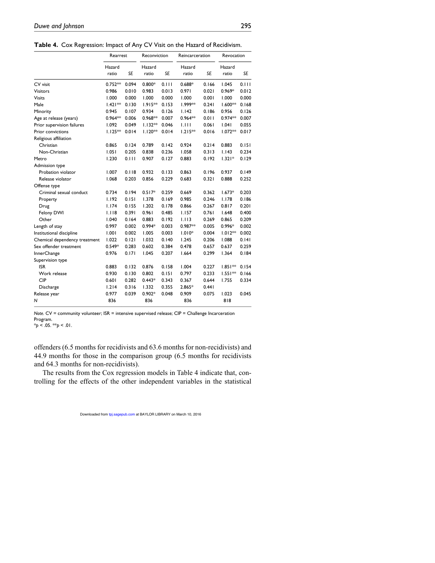**Table 4.** Cox Regression: Impact of Any CV Visit on the Hazard of Recidivism.

|                               | Rearrest        |           | Reconviction    |           | Reincarceration |       | Revocation      |       |  |
|-------------------------------|-----------------|-----------|-----------------|-----------|-----------------|-------|-----------------|-------|--|
|                               | Hazard<br>ratio | <b>SE</b> | Hazard<br>ratio | <b>SE</b> | Hazard<br>ratio | SE    | Hazard<br>ratio | SE    |  |
| CV visit                      | $0.752**$       | 0.094     | $0.800*$        | 0.111     | $0.688*$        | 0.166 | 1.045           | 0.111 |  |
| <b>Visitors</b>               | 0.986           | 0.010     | 0.983           | 0.013     | 0.971           | 0.021 | 0.969*          | 0.012 |  |
| <b>Visits</b>                 | 1.000           | 0.000     | 1.000           | 0.000     | 1.000           | 0.001 | 1.000           | 0.000 |  |
| Male                          | $1.421**$       | 0.130     | $1.915**$       | 0.153     | 1.999**         | 0.241 | $1.600**$       | 0.168 |  |
| Minority                      | 0.945           | 0.107     | 0.934           | 0.126     | 1.142           | 0.186 | 0.956           | 0.126 |  |
| Age at release (years)        | $0.964**$       | 0.006     | $0.968**$       | 0.007     | $0.964**$       | 0.011 | $0.974**$       | 0.007 |  |
| Prior supervision failures    | 1.092           | 0.049     | $1.132**$       | 0.046     | 1.111           | 0.061 | 1.041           | 0.055 |  |
| Prior convictions             | $1.125**$       | 0.014     | $1.120**$       | 0.014     | $1.215**$       | 0.016 | $1.072**$       | 0.017 |  |
| Religious affiliation         |                 |           |                 |           |                 |       |                 |       |  |
| Christian                     | 0.865           | 0.124     | 0.789           | 0.142     | 0.924           | 0.214 | 0.883           | 0.151 |  |
| Non-Christian                 | 1.051           | 0.205     | 0.838           | 0.236     | 1.058           | 0.313 | 1.143           | 0.234 |  |
| Metro                         | 1.230           | 0.111     | 0.907           | 0.127     | 0.883           | 0.192 | $1.321*$        | 0.129 |  |
| Admission type                |                 |           |                 |           |                 |       |                 |       |  |
| Probation violator            | 1.007           | 0.118     | 0.932           | 0.133     | 0.863           | 0.196 | 0.937           | 0.149 |  |
| Release violator              | 1.068           | 0.203     | 0.856           | 0.229     | 0.683           | 0.321 | 0.888           | 0.252 |  |
| Offense type                  |                 |           |                 |           |                 |       |                 |       |  |
| Criminal sexual conduct       | 0.734           | 0.194     | $0.517*$        | 0.259     | 0.669           | 0.362 | $1.673*$        | 0.203 |  |
| Property                      | 1.192           | 0.151     | 1.378           | 0.169     | 0.985           | 0.246 | 1.178           | 0.186 |  |
| Drug                          | 1.174           | 0.155     | 1.202           | 0.178     | 0.866           | 0.267 | 0.817           | 0.201 |  |
| Felony DWI                    | 1.118           | 0.391     | 0.961           | 0.485     | 1.157           | 0.761 | 1.648           | 0.400 |  |
| Other                         | 1.040           | 0.164     | 0.883           | 0.192     | 1.113           | 0.269 | 0.865           | 0.209 |  |
| Length of stay                | 0.997           | 0.002     | $0.994*$        | 0.003     | 0.987**         | 0.005 | 0.996*          | 0.002 |  |
| Institutional discipline      | 1.001           | 0.002     | 1.005           | 0.003     | $1.010*$        | 0.004 | $1.012**$       | 0.002 |  |
| Chemical dependency treatment | 1.022           | 0.121     | 1.032           | 0.140     | 1.245           | 0.206 | 1.088           | 0.141 |  |
| Sex offender treatment        | $0.549*$        | 0.283     | 0.602           | 0.384     | 0.478           | 0.657 | 0.637           | 0.259 |  |
| <b>InnerChange</b>            | 0.976           | 0.171     | 1.045           | 0.207     | 1.664           | 0.299 | 1.364           | 0.184 |  |
| Supervision type              |                 |           |                 |           |                 |       |                 |       |  |
| <b>ISR</b>                    | 0.883           | 0.132     | 0.876           | 0.158     | 1.004           | 0.227 | $1.851**$       | 0.154 |  |
| Work release                  | 0.930           | 0.130     | 0.802           | 0.151     | 0.797           | 0.233 | $1.551**$       | 0.166 |  |
| <b>CIP</b>                    | 0.601           | 0.282     | $0.443*$        | 0.343     | 0.367           | 0.644 | 1.755           | 0.334 |  |
| Discharge                     | 1.214           | 0.316     | 1.332           | 0.355     | $2.865*$        | 0.441 |                 |       |  |
| Release year                  | 0.977           | 0.039     | $0.902*$        | 0.048     | 0.909           | 0.075 | 1.023           | 0.045 |  |
| Ν                             | 836             |           | 836             |           | 836             |       | 818             |       |  |

*Note.* CV = community volunteer; ISR = intensive supervised release; CIP = Challenge Incarceration Program.

\**p* < .05. \*\**p* < .01.

offenders (6.5 months for recidivists and 63.6 months for non-recidivists) and 44.9 months for those in the comparison group (6.5 months for recidivists and 64.3 months for non-recidivists).

The results from the Cox regression models in Table 4 indicate that, controlling for the effects of the other independent variables in the statistical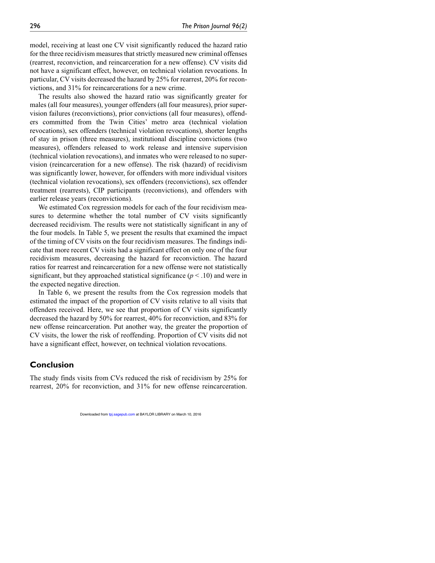model, receiving at least one CV visit significantly reduced the hazard ratio for the three recidivism measures that strictly measured new criminal offenses (rearrest, reconviction, and reincarceration for a new offense). CV visits did not have a significant effect, however, on technical violation revocations. In particular, CV visits decreased the hazard by 25% for rearrest, 20% for reconvictions, and 31% for reincarcerations for a new crime.

The results also showed the hazard ratio was significantly greater for males (all four measures), younger offenders (all four measures), prior supervision failures (reconvictions), prior convictions (all four measures), offenders committed from the Twin Cities' metro area (technical violation revocations), sex offenders (technical violation revocations), shorter lengths of stay in prison (three measures), institutional discipline convictions (two measures), offenders released to work release and intensive supervision (technical violation revocations), and inmates who were released to no supervision (reincarceration for a new offense). The risk (hazard) of recidivism was significantly lower, however, for offenders with more individual visitors (technical violation revocations), sex offenders (reconvictions), sex offender treatment (rearrests), CIP participants (reconvictions), and offenders with earlier release years (reconvictions).

We estimated Cox regression models for each of the four recidivism measures to determine whether the total number of CV visits significantly decreased recidivism. The results were not statistically significant in any of the four models. In Table 5, we present the results that examined the impact of the timing of CV visits on the four recidivism measures. The findings indicate that more recent CV visits had a significant effect on only one of the four recidivism measures, decreasing the hazard for reconviction. The hazard ratios for rearrest and reincarceration for a new offense were not statistically significant, but they approached statistical significance  $(p < .10)$  and were in the expected negative direction.

In Table 6, we present the results from the Cox regression models that estimated the impact of the proportion of CV visits relative to all visits that offenders received. Here, we see that proportion of CV visits significantly decreased the hazard by 50% for rearrest, 40% for reconviction, and 83% for new offense reincarceration. Put another way, the greater the proportion of CV visits, the lower the risk of reoffending. Proportion of CV visits did not have a significant effect, however, on technical violation revocations.

### **Conclusion**

The study finds visits from CVs reduced the risk of recidivism by 25% for rearrest, 20% for reconviction, and 31% for new offense reincarceration.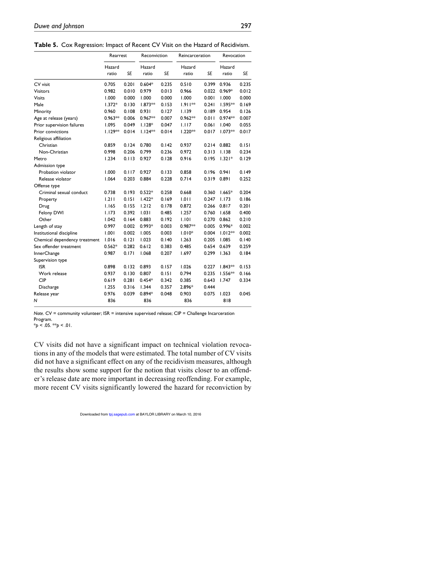**Table 5.** Cox Regression: Impact of Recent CV Visit on the Hazard of Recidivism.

|                               | Rearrest  |       | Reconviction |           | Reincarceration |           | Revocation  |           |
|-------------------------------|-----------|-------|--------------|-----------|-----------------|-----------|-------------|-----------|
|                               | Hazard    |       | Hazard       |           | Hazard          |           | Hazard      |           |
|                               | ratio     | SE    | ratio        | <b>SE</b> | ratio           | <b>SE</b> | ratio       | <b>SE</b> |
| CV visit                      | 0.705     | 0.201 | $0.604*$     | 0.235     | 0.510           | 0.399     | 0.936       | 0.235     |
| <b>Visitors</b>               | 0.982     | 0.010 | 0.979        | 0.013     | 0.966           | 0.022     | 0.969*      | 0.012     |
| <b>Visits</b>                 | 1.000     | 0.000 | 1.000        | 0.000     | 1.000           | 0.001     | 1.000       | 0.000     |
| Male                          | $1.372*$  | 0.130 | $1.873**$    | 0.153     | $1.911**$       | 0.241     | $1.595**$   | 0.169     |
| Minority                      | 0.960     | 0.108 | 0.931        | 0.127     | 1.139           | 0.189     | 0.954       | 0.126     |
| Age at release (years)        | $0.963**$ | 0.006 | $0.967**$    | 0.007     | $0.962**$       | 0.011     | $0.974**$   | 0.007     |
| Prior supervision failures    | 1.095     | 0.049 | $1.128*$     | 0.047     | 1.117           | 0.061     | 1.040       | 0.055     |
| Prior convictions             | $1.129**$ | 0.014 | $1.124**$    | 0.014     | $1.220**$       | 0.017     | $1.073**$   | 0.017     |
| Religious affiliation         |           |       |              |           |                 |           |             |           |
| Christian                     | 0.859     | 0.124 | 0.780        | 0.142     | 0.937           | 0.214     | 0.882       | 0.151     |
| Non-Christian                 | 0.998     | 0.206 | 0.799        | 0.236     | 0.972           | 0.313     | 1.138       | 0.234     |
| Metro                         | 1.234     | 0.113 | 0.927        | 0.128     | 0.916           | 0.195     | $1.321*$    | 0.129     |
| Admission type                |           |       |              |           |                 |           |             |           |
| Probation violator            | 1.000     | 0.117 | 0.927        | 0.133     | 0.858           | 0.196     | 0.941       | 0.149     |
| Release violator              | 1.064     | 0.203 | 0.884        | 0.228     | 0.714           | 0.319     | 0.891       | 0.252     |
| Offense type                  |           |       |              |           |                 |           |             |           |
| Criminal sexual conduct       | 0.738     | 0.193 | $0.522*$     | 0.258     | 0.668           | 0.360     | $1.665*$    | 0.204     |
| Property                      | 1.211     | 0.151 | $1.422*$     | 0.169     | 1.011           | 0.247     | 1.173       | 0.186     |
| Drug                          | 1.165     | 0.155 | 1.212        | 0.178     | 0.872           | 0.266     | 0.817       | 0.201     |
| Felony DWI                    | 1.173     | 0.392 | 1.031        | 0.485     | 1.257           | 0.760     | 1.658       | 0.400     |
| Other                         | 1.042     | 0.164 | 0.883        | 0.192     | 1.101           |           | 0.270 0.862 | 0.210     |
| Length of stay                | 0.997     | 0.002 | $0.993*$     | 0.003     | 0.987**         | 0.005     | $0.996*$    | 0.002     |
| Institutional discipline      | 1.001     | 0.002 | 1.005        | 0.003     | $1.010*$        | 0.004     | $1.012**$   | 0.002     |
| Chemical dependency treatment | 1.016     | 0.121 | 1.023        | 0.140     | 1.263           | 0.205     | 1.085       | 0.140     |
| Sex offender treatment        | $0.562*$  | 0.282 | 0.612        | 0.383     | 0.485           | 0.654     | 0.639       | 0.259     |
| <b>InnerChange</b>            | 0.987     | 0.171 | 1.068        | 0.207     | 1.697           | 0.299     | 1.363       | 0.184     |
| Supervision type              |           |       |              |           |                 |           |             |           |
| <b>ISR</b>                    | 0.898     | 0.132 | 0.893        | 0.157     | 1.026           | 0.227     | $1.843**$   | 0.153     |
| Work release                  | 0.937     | 0.130 | 0.807        | 0.151     | 0.794           | 0.235     | 1.556**     | 0.166     |
| <b>CIP</b>                    | 0.619     | 0.281 | $0.454*$     | 0.342     | 0.385           | 0.643     | 1.747       | 0.334     |
| Discharge                     | 1.255     | 0.316 | 1.344        | 0.357     | 2.896*          | 0.444     |             |           |
| Release year                  | 0.976     | 0.039 | $0.894*$     | 0.048     | 0.903           | 0.075     | 1.023       | 0.045     |
| N                             | 836       |       | 836          |           | 836             |           | 818         |           |

*Note.* CV = community volunteer; ISR = intensive supervised release; CIP = Challenge Incarceration Program.

 $*_{p}$  < .05.  $*_{p}$  < .01.

CV visits did not have a significant impact on technical violation revocations in any of the models that were estimated. The total number of CV visits did not have a significant effect on any of the recidivism measures, although the results show some support for the notion that visits closer to an offender's release date are more important in decreasing reoffending. For example, more recent CV visits significantly lowered the hazard for reconviction by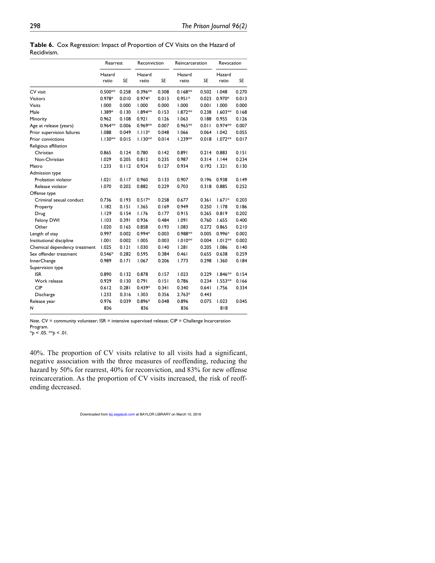#### **Table 6.** Cox Regression: Impact of Proportion of CV Visits on the Hazard of Recidivism.

|                               | Rearrest        |           | Reconviction    |           | Reincarceration |           | Revocation      |           |
|-------------------------------|-----------------|-----------|-----------------|-----------|-----------------|-----------|-----------------|-----------|
|                               | Hazard<br>ratio | <b>SE</b> | Hazard<br>ratio | <b>SE</b> | Hazard<br>ratio | <b>SE</b> | Hazard<br>ratio | <b>SE</b> |
| CV visit                      | $0.500**$       | 0.258     | $0.396**$       | 0.308     | $0.168**$       | 0.502     | 1.048           | 0.270     |
| <b>Visitors</b>               | $0.978*$        | 0.010     | $0.974*$        | 0.013     | $0.951*$        | 0.023     | 0.970*          | 0.013     |
| Visits                        | 1.000           | 0.000     | 1.000           | 0.000     | 1.000           | 0.001     | 1.000           | 0.000     |
| Male                          | $1.389*$        | 0.130     | $1.894**$       | 0.153     | $1.872**$       | 0.238     | $1.603**$       | 0.168     |
| Minority                      | 0.962           | 0.108     | 0.921           | 0.126     | 1.063           | 0.188     | 0.955           | 0.126     |
| Age at release (years)        | $0.964**$       | 0.006     | 0.969**         | 0.007     | 0.965**         | 0.011     | $0.974**$       | 0.007     |
| Prior supervision failures    | 1.088           | 0.049     | $1.113*$        | 0.048     | 1.066           | 0.064     | 1.042           | 0.055     |
| <b>Prior convictions</b>      | $1.130**$       | 0.015     | $1.130**$       | 0.014     | $1.239**$       | 0.018     | $1.072**$       | 0.017     |
| Religious affiliation         |                 |           |                 |           |                 |           |                 |           |
| Christian                     | 0.865           | 0.124     | 0.780           | 0.142     | 0.891           | 0.214     | 0.883           | 0.151     |
| Non-Christian                 | 1.029           | 0.205     | 0.812           | 0.235     | 0.987           | 0.314     | 1.144           | 0.234     |
| Metro                         | 1.233           | 0.112     | 0.924           | 0.127     | 0.934           | 0.192     | 1.321           | 0.130     |
| Admission type                |                 |           |                 |           |                 |           |                 |           |
| Probation violator            | 1.021           | 0.117     | 0.960           | 0.133     | 0.907           | 0.196     | 0.938           | 0.149     |
| Release violator              | 1.070           | 0.202     | 0.882           | 0.229     | 0.703           | 0.318     | 0.885           | 0.252     |
| Offense type                  |                 |           |                 |           |                 |           |                 |           |
| Criminal sexual conduct       | 0.736           | 0.193     | $0.517*$        | 0.258     | 0.677           | 0.361     | $1.671*$        | 0.203     |
| Property                      | 1.182           | 0.151     | 1.365           | 0.169     | 0.949           | 0.250     | 1.178           | 0.186     |
| Drug                          | 1.129           | 0.154     | 1.176           | 0.177     | 0.915           | 0.265     | 0.819           | 0.202     |
| Felony DWI                    | 1.103           | 0.391     | 0.936           | 0.484     | 1.091           | 0.760     | 1.655           | 0.400     |
| Other                         | 1.020           | 0.165     | 0.858           | 0.193     | 1.083           | 0.272     | 0.865           | 0.210     |
| Length of stay                | 0.997           | 0.002     | $0.994*$        | 0.003     | 0.988**         | 0.005     | 0.996*          | 0.002     |
| Institutional discipline      | 1.001           | 0.002     | 1.005           | 0.003     | $1.010**$       | 0.004     | $1.012**$       | 0.002     |
| Chemical dependency treatment | 1.025           | 0.121     | 1.030           | 0.140     | 1.281           | 0.205     | 1.086           | 0.140     |
| Sex offender treatment        | $0.546*$        | 0.282     | 0.595           | 0.384     | 0.461           | 0.655     | 0.638           | 0.259     |
| <b>InnerChange</b>            | 0.989           | 0.171     | 1.067           | 0.206     | 1.773           | 0.298     | 1.360           | 0.184     |
| Supervision type              |                 |           |                 |           |                 |           |                 |           |
| <b>ISR</b>                    | 0.890           | 0.132     | 0.878           | 0.157     | 1.023           | 0.229     | $1.846**$       | 0.154     |
| Work release                  | 0.929           | 0.130     | 0.791           | 0.151     | 0.786           | 0.234     | $1.553**$       | 0.166     |
| CIP                           | 0.612           | 0.281     | $0.439*$        | 0.341     | 0.340           | 0.641     | 1.756           | 0.334     |
| Discharge                     | 1.233           | 0.316     | 1.303           | 0.356     | $2.763*$        | 0.443     |                 |           |
| Release year                  | 0.976           | 0.039     | 0.896*          | 0.048     | 0.896           | 0.075     | 1.023           | 0.045     |
| N                             | 836             |           | 836             |           | 836             |           | 818             |           |

*Note.* CV = community volunteer; ISR = intensive supervised release; CIP = Challenge Incarceration Program.

 $*_{p}$  < .05.  $*_{p}$  < .01.

40%. The proportion of CV visits relative to all visits had a significant, negative association with the three measures of reoffending, reducing the hazard by 50% for rearrest, 40% for reconviction, and 83% for new offense reincarceration. As the proportion of CV visits increased, the risk of reoffending decreased.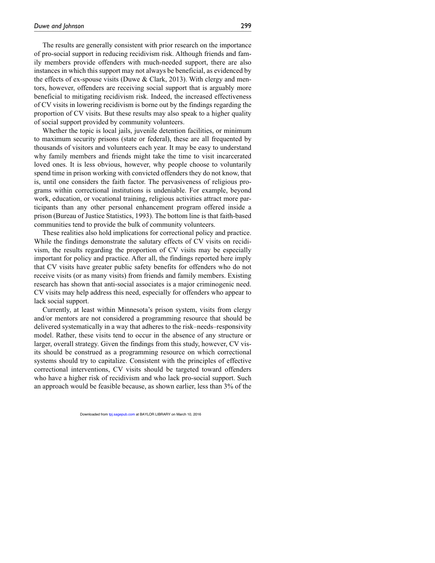The results are generally consistent with prior research on the importance of pro-social support in reducing recidivism risk. Although friends and family members provide offenders with much-needed support, there are also instances in which this support may not always be beneficial, as evidenced by the effects of ex-spouse visits (Duwe & Clark, 2013). With clergy and mentors, however, offenders are receiving social support that is arguably more beneficial to mitigating recidivism risk. Indeed, the increased effectiveness of CV visits in lowering recidivism is borne out by the findings regarding the proportion of CV visits. But these results may also speak to a higher quality of social support provided by community volunteers.

Whether the topic is local jails, juvenile detention facilities, or minimum to maximum security prisons (state or federal), these are all frequented by thousands of visitors and volunteers each year. It may be easy to understand why family members and friends might take the time to visit incarcerated loved ones. It is less obvious, however, why people choose to voluntarily spend time in prison working with convicted offenders they do not know, that is, until one considers the faith factor. The pervasiveness of religious programs within correctional institutions is undeniable. For example, beyond work, education, or vocational training, religious activities attract more participants than any other personal enhancement program offered inside a prison (Bureau of Justice Statistics, 1993). The bottom line is that faith-based communities tend to provide the bulk of community volunteers.

These realities also hold implications for correctional policy and practice. While the findings demonstrate the salutary effects of CV visits on recidivism, the results regarding the proportion of CV visits may be especially important for policy and practice. After all, the findings reported here imply that CV visits have greater public safety benefits for offenders who do not receive visits (or as many visits) from friends and family members. Existing research has shown that anti-social associates is a major criminogenic need. CV visits may help address this need, especially for offenders who appear to lack social support.

Currently, at least within Minnesota's prison system, visits from clergy and/or mentors are not considered a programming resource that should be delivered systematically in a way that adheres to the risk–needs–responsivity model. Rather, these visits tend to occur in the absence of any structure or larger, overall strategy. Given the findings from this study, however, CV visits should be construed as a programming resource on which correctional systems should try to capitalize. Consistent with the principles of effective correctional interventions, CV visits should be targeted toward offenders who have a higher risk of recidivism and who lack pro-social support. Such an approach would be feasible because, as shown earlier, less than 3% of the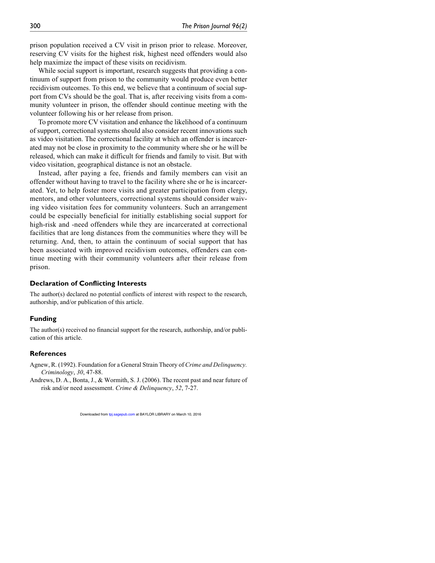prison population received a CV visit in prison prior to release. Moreover, reserving CV visits for the highest risk, highest need offenders would also help maximize the impact of these visits on recidivism.

While social support is important, research suggests that providing a continuum of support from prison to the community would produce even better recidivism outcomes. To this end, we believe that a continuum of social support from CVs should be the goal. That is, after receiving visits from a community volunteer in prison, the offender should continue meeting with the volunteer following his or her release from prison.

To promote more CV visitation and enhance the likelihood of a continuum of support, correctional systems should also consider recent innovations such as video visitation. The correctional facility at which an offender is incarcerated may not be close in proximity to the community where she or he will be released, which can make it difficult for friends and family to visit. But with video visitation, geographical distance is not an obstacle.

Instead, after paying a fee, friends and family members can visit an offender without having to travel to the facility where she or he is incarcerated. Yet, to help foster more visits and greater participation from clergy, mentors, and other volunteers, correctional systems should consider waiving video visitation fees for community volunteers. Such an arrangement could be especially beneficial for initially establishing social support for high-risk and -need offenders while they are incarcerated at correctional facilities that are long distances from the communities where they will be returning. And, then, to attain the continuum of social support that has been associated with improved recidivism outcomes, offenders can continue meeting with their community volunteers after their release from prison.

#### **Declaration of Conflicting Interests**

The author(s) declared no potential conflicts of interest with respect to the research, authorship, and/or publication of this article.

#### **Funding**

The author(s) received no financial support for the research, authorship, and/or publication of this article.

#### **References**

Agnew, R. (1992). Foundation for a General Strain Theory of *Crime and Delinquency. Criminology*, *30*, 47-88.

Andrews, D. A., Bonta, J., & Wormith, S. J. (2006). The recent past and near future of risk and/or need assessment. *Crime & Delinquency*, *52*, 7-27.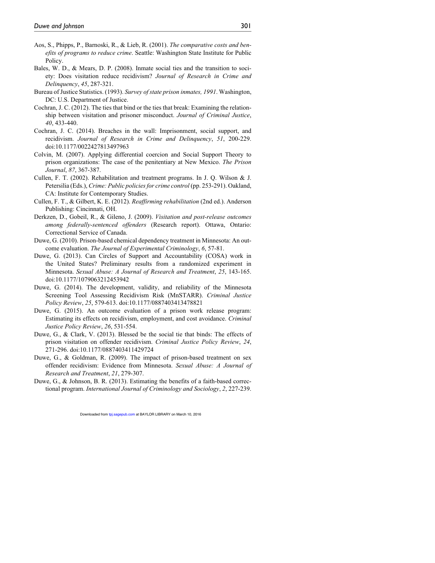- Aos, S., Phipps, P., Barnoski, R., & Lieb, R. (2001). *The comparative costs and benefits of programs to reduce crime*. Seattle: Washington State Institute for Public Policy.
- Bales, W. D., & Mears, D. P. (2008). Inmate social ties and the transition to society: Does visitation reduce recidivism? *Journal of Research in Crime and Delinquency*, *45*, 287-321.
- Bureau of Justice Statistics. (1993). *Survey of state prison inmates, 1991*. Washington, DC: U.S. Department of Justice.
- Cochran, J. C. (2012). The ties that bind or the ties that break: Examining the relationship between visitation and prisoner misconduct. *Journal of Criminal Justice*, *40*, 433-440.
- Cochran, J. C. (2014). Breaches in the wall: Imprisonment, social support, and recidivism. *Journal of Research in Crime and Delinquency*, *51*, 200-229. doi:10.1177/0022427813497963
- Colvin, M. (2007). Applying differential coercion and Social Support Theory to prison organizations: The case of the penitentiary at New Mexico. *The Prison Journal*, *87*, 367-387.
- Cullen, F. T. (2002). Rehabilitation and treatment programs. In J. Q. Wilson & J. Petersilia (Eds.), *Crime: Public policiesfor crime control* (pp. 253-291). Oakland, CA: Institute for Contemporary Studies.
- Cullen, F. T., & Gilbert, K. E. (2012). *Reaffirming rehabilitation* (2nd ed.). Anderson Publishing: Cincinnati, OH.
- Derkzen, D., Gobeil, R., & Gileno, J. (2009). *Visitation and post-release outcomes among federally-sentenced offenders* (Research report). Ottawa, Ontario: Correctional Service of Canada.
- Duwe, G. (2010). Prison-based chemical dependency treatment in Minnesota: An outcome evaluation. *The Journal of Experimental Criminology*, *6*, 57-81.
- Duwe, G. (2013). Can Circles of Support and Accountability (COSA) work in the United States? Preliminary results from a randomized experiment in Minnesota. *Sexual Abuse: A Journal of Research and Treatment*, *25*, 143-165. doi:10.1177/1079063212453942
- Duwe, G. (2014). The development, validity, and reliability of the Minnesota Screening Tool Assessing Recidivism Risk (MnSTARR). *Criminal Justice Policy Review*, *25*, 579-613. doi:10.1177/0887403413478821
- Duwe, G. (2015). An outcome evaluation of a prison work release program: Estimating its effects on recidivism, employment, and cost avoidance. *Criminal Justice Policy Review*, *26*, 531-554.
- Duwe, G., & Clark, V. (2013). Blessed be the social tie that binds: The effects of prison visitation on offender recidivism. *Criminal Justice Policy Review*, *24*, 271-296. doi:10.1177/0887403411429724
- Duwe, G., & Goldman, R. (2009). The impact of prison-based treatment on sex offender recidivism: Evidence from Minnesota. *Sexual Abuse: A Journal of Research and Treatment*, *21*, 279-307.
- Duwe, G., & Johnson, B. R. (2013). Estimating the benefits of a faith-based correctional program. *International Journal of Criminology and Sociology*, *2*, 227-239.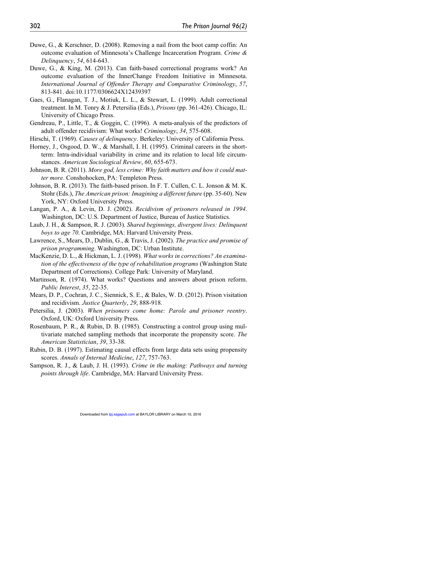- Duwe, G., & Kerschner, D. (2008). Removing a nail from the boot camp coffin: An outcome evaluation of Minnesota's Challenge Incarceration Program. *Crime & Delinquency*, *54*, 614-643.
- Duwe, G., & King, M. (2013). Can faith-based correctional programs work? An outcome evaluation of the InnerChange Freedom Initiative in Minnesota. *International Journal of Offender Therapy and Comparative Criminology*, *57*, 813-841. doi:10.1177/0306624X12439397
- Gaes, G., Flanagan, T. J., Motiuk, L. L., & Stewart, L. (1999). Adult correctional treatment. In M. Tonry & J. Petersilia (Eds.), *Prisons* (pp. 361-426). Chicago, IL: University of Chicago Press.
- Gendreau, P., Little, T., & Goggin, C. (1996). A meta-analysis of the predictors of adult offender recidivism: What works! *Criminology*, *34*, 575-608.
- Hirschi, T. (1969). *Causes of delinquency*. Berkeley: University of California Press.
- Horney, J., Osgood, D. W., & Marshall, I. H. (1995). Criminal careers in the shortterm: Intra-individual variability in crime and its relation to local life circumstances. *American Sociological Review*, *60*, 655-673.
- Johnson, B. R. (2011). *More god, less crime: Why faith matters and how it could matter more*. Conshohocken, PA: Templeton Press.
- Johnson, B. R. (2013). The faith-based prison. In F. T. Cullen, C. L. Jonson & M. K. Stohr (Eds.), *The American prison: Imagining a different future* (pp. 35-60). New York, NY: Oxford University Press.
- Langan, P. A., & Levin, D. J. (2002). *Recidivism of prisoners released in 1994*. Washington, DC: U.S. Department of Justice, Bureau of Justice Statistics.
- Laub, J. H., & Sampson, R. J. (2003). *Shared beginnings, divergent lives: Delinquent boys to age 70*. Cambridge, MA: Harvard University Press.
- Lawrence, S., Mears, D., Dublin, G., & Travis, J. (2002). *The practice and promise of prison programming*. Washington, DC: Urban Institute.
- MacKenzie, D. L., & Hickman, L. J. (1998). *What works in corrections? An examination of the effectiveness of the type of rehabilitation programs* (Washington State Department of Corrections). College Park: University of Maryland.
- Martinson, R. (1974). What works? Questions and answers about prison reform. *Public Interest*, *35*, 22-35.
- Mears, D. P., Cochran, J. C., Siennick, S. E., & Bales, W. D. (2012). Prison visitation and recidivism. *Justice Quarterly*, *29*, 888-918.
- Petersilia, J. (2003). *When prisoners come home: Parole and prisoner reentry*. Oxford, UK: Oxford University Press.
- Rosenbaum, P. R., & Rubin, D. B. (1985). Constructing a control group using multivariate matched sampling methods that incorporate the propensity score. *The American Statistician*, *39*, 33-38.
- Rubin, D. B. (1997). Estimating causal effects from large data sets using propensity scores. *Annals of Internal Medicine*, *127*, 757-763.
- Sampson, R. J., & Laub, J. H. (1993). *Crime in the making: Pathways and turning points through life*. Cambridge, MA: Harvard University Press.